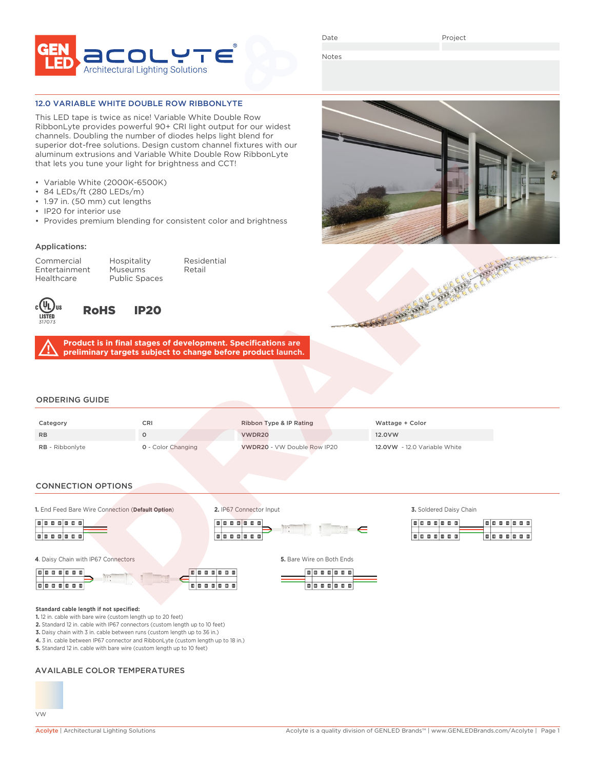

Date

Project

Notes

### 12.0 VARIABLE WHITE DOUBLE ROW RIBBONLYTE

This LED tape is twice as nice! Variable White Double Row RibbonLyte provides powerful 90+ CRI light output for our widest channels. Doubling the number of diodes helps light blend for superior dot-free solutions. Design custom channel fixtures with our aluminum extrusions and Variable White Double Row RibbonLyte that lets you tune your light for brightness and CCT!

- Variable White (2000K-6500K)
- 84 LEDs/ft (280 LEDs/m)
- 1.97 in. (50 mm) cut lengths
- IP20 for interior use
- Provides premium blending for consistent color and brightness

## Applications:

Entertainment<br>Healthcare

Commercial Hospitality Residential Public Spaces



RoHS IP20

**Product is in final stages of development. Specifications are preliminary targets subject to change before product launch.**

#### ORDERING GUIDE

| Category               | CRI                       | Ribbon Type & IP Rating     | Wattage + Color              |
|------------------------|---------------------------|-----------------------------|------------------------------|
| <b>RB</b>              |                           | VWDR20                      | 12.0 V W                     |
| <b>RB</b> - Ribbonlyte | <b>0</b> - Color Changing | VWDR20 - VW Double Row IP20 | 12.0VW - 12.0 Variable White |

**2.** IP67 Connector Input

## CONNECTION OPTIONS

**1.** End Feed Bare Wire Connection (**Default Option**) **3.** Soldered Daisy Chain



**4**. Daisy Chain with IP67 Connectors **5.** Bare Wire on Both Ends







**1.** 12 in. cable with bare wire (custom length up to 20 feet)

**2.** Standard 12 in. cable with IP67 connectors (custom length up to 10 feet)

**3.** Daisy chain with 3 in. cable between runs (custom length up to 36 in.)

**4.** 3 in. cable between IP67 connector and RibbonLyte (custom length up to 18 in.)

**5.** Standard 12 in. cable with bare wire (custom length up to 10 feet)

## AVAILABLE COLOR TEMPERATURES



 $\boxed{0 \mid 0 \mid 0 \mid 0 \mid 0 \mid 0}$ 

**Toto of the Co** 

 $\in$ 

ala a ala a a

**Toto de co** 

 $\boxed{\blacksquare\blacksquare\blacksquare\blacksquare\blacksquare\blacksquare\blacksquare\blacksquare}$ 

**laia a a a a**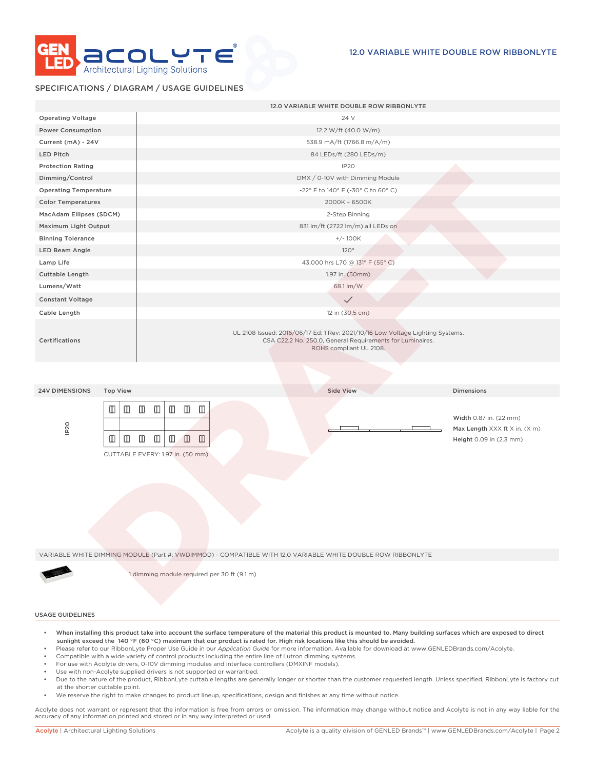

## SPECIFICATIONS / DIAGRAM / USAGE GUIDELINES

|                                          | 12.0 VARIABLE WHITE DOUBLE ROW RIBBONLYTE                                                                                                                                                                                                                         |
|------------------------------------------|-------------------------------------------------------------------------------------------------------------------------------------------------------------------------------------------------------------------------------------------------------------------|
| <b>Operating Voltage</b>                 | 24 V                                                                                                                                                                                                                                                              |
| <b>Power Consumption</b>                 | 12.2 W/ft (40.0 W/m)                                                                                                                                                                                                                                              |
| Current (mA) - 24V                       | 538.9 mA/ft (1766.8 m/A/m)                                                                                                                                                                                                                                        |
| <b>LED Pitch</b>                         | 84 LEDs/ft (280 LEDs/m)                                                                                                                                                                                                                                           |
| <b>Protection Rating</b>                 | IP20                                                                                                                                                                                                                                                              |
| Dimming/Control                          | DMX / 0-10V with Dimming Module                                                                                                                                                                                                                                   |
| <b>Operating Temperature</b>             | -22° F to 140° F (-30° C to 60° C)                                                                                                                                                                                                                                |
| <b>Color Temperatures</b>                | 2000K - 6500K                                                                                                                                                                                                                                                     |
| MacAdam Ellipses (SDCM)                  | 2-Step Binning                                                                                                                                                                                                                                                    |
| Maximum Light Output                     | 831 lm/ft (2722 lm/m) all LEDs on                                                                                                                                                                                                                                 |
| <b>Binning Tolerance</b>                 | $+/- 100K$                                                                                                                                                                                                                                                        |
| LED Beam Angle                           | 120°                                                                                                                                                                                                                                                              |
| Lamp Life                                | 43,000 hrs L70 @ 131° F (55° C)                                                                                                                                                                                                                                   |
| Cuttable Length                          | 1.97 in. (50mm)                                                                                                                                                                                                                                                   |
| Lumens/Watt                              | 68.1 lm/W                                                                                                                                                                                                                                                         |
| <b>Constant Voltage</b>                  | $\checkmark$                                                                                                                                                                                                                                                      |
| Cable Length                             | 12 in (30.5 cm)                                                                                                                                                                                                                                                   |
| Certifications                           | UL 2108 Issued: 2016/06/17 Ed: 1 Rev: 2021/10/16 Low Voltage Lighting Systems.<br>CSA C22.2 No. 250.0, General Requirements for Luminaires.<br>ROHS compliant UL 2108.                                                                                            |
|                                          |                                                                                                                                                                                                                                                                   |
| <b>24V DIMENSIONS</b><br><b>Top View</b> | <b>Side View</b><br>Dimensions                                                                                                                                                                                                                                    |
| $\square$<br>IP <sub>20</sub><br>◫       | $\Box$ $\Box$ $\Box$<br>$\Box$<br>$\mathbb{Z}$ $\mathbb{Z}$<br>Width 0.87 in. (22 mm)<br>Max Length XXX ft X in. (X m)<br>$\mathbb{Z}$ $\mathbb{Z}$<br>▥<br>$\Box$<br>$\mathbb{Z}$<br>$\mathbb{Z}$<br>Height 0.09 in (2.3 mm)<br>CUTTABLE EVERY: 1.97 in. (50 mm) |
|                                          | VARIABLE WHITE DIMMING MODULE (Part #: VWDIMMOD) - COMPATIBLE WITH 12.0 VARIABLE WHITE DOUBLE ROW RIBBONLYTE                                                                                                                                                      |
|                                          | 1 dimming module required per 30 ft (9.1 m)                                                                                                                                                                                                                       |

#### USAGE GUIDELINES

- When installing this product take into account the surface temperature of the material this product is mounted to. Many building surfaces which are exposed to direct sunlight exceed the 140 °F (60 °C) maximum that our product is rated for. High risk locations like this should be avoided.
- Please refer to our RibbonLyte Proper Use Guide in our *Application Guide* for more information. Available for download at www.GENLEDBrands.com/Acolyte.
- Compatible with a wide variety of control products including the entire line of Lutron dimming systems.
- For use with Acolyte drivers, 0-10V dimming modules and interface controllers (DMXINF models).
- Use with non-Acolyte supplied drivers is not supported or warrantied.
- Due to the nature of the product, RibbonLyte cuttable lengths are generally longer or shorter than the customer requested length. Unless specified, RibbonLyte is factory cut at the shorter cuttable point.
- We reserve the right to make changes to product lineup, specifications, design and finishes at any time without notice.

Acolyte does not warrant or represent that the information is free from errors or omission. The information may change without notice and Acolyte is not in any way liable for the accuracy of any information printed and stored or in any way interpreted or used.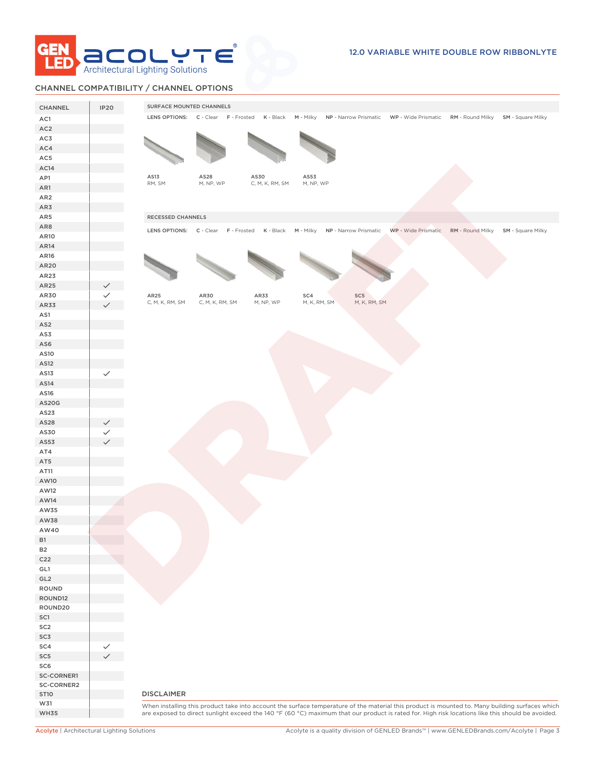

## CHANNEL COMPATIBILITY / CHANNEL OPTIONS

| CHANNEL                | <b>IP20</b>  | SURFACE MOUNTED CHANNELS                                                                                                                                             |  |
|------------------------|--------------|----------------------------------------------------------------------------------------------------------------------------------------------------------------------|--|
| AC1                    |              | LENS OPTIONS: C - Clear F - Frosted K - Black M - Milky NP - Narrow Prismatic WP - Wide Prismatic RM - Round Milky SM - Square Milky                                 |  |
| AC <sub>2</sub>        |              |                                                                                                                                                                      |  |
| AC3                    |              |                                                                                                                                                                      |  |
| AC4                    |              |                                                                                                                                                                      |  |
| AC5                    |              |                                                                                                                                                                      |  |
| AC <sub>14</sub>       |              |                                                                                                                                                                      |  |
| AP1                    |              | AS13<br>AS28<br>AS30<br>AS53                                                                                                                                         |  |
| AR1                    |              | RM, SM<br>M, NP, WP<br>C, M, K, RM, SM<br>M, NP, WP                                                                                                                  |  |
| AR <sub>2</sub>        |              |                                                                                                                                                                      |  |
| AR3                    |              |                                                                                                                                                                      |  |
| AR5                    |              | RECESSED CHANNELS                                                                                                                                                    |  |
| AR8                    |              |                                                                                                                                                                      |  |
| AR10                   |              | WP - Wide Prismatic RM - Round Milky SM - Square Milky<br>LENS OPTIONS: C - Clear F - Frosted K - Black M - Milky NP - Narrow Prismatic                              |  |
| AR14                   |              |                                                                                                                                                                      |  |
| AR16                   |              |                                                                                                                                                                      |  |
| AR20                   |              |                                                                                                                                                                      |  |
| AR23                   |              |                                                                                                                                                                      |  |
| AR25                   | $\checkmark$ |                                                                                                                                                                      |  |
| AR30                   | ✓            | AR25<br>AR30<br>AR33<br>SC4<br>SC5                                                                                                                                   |  |
| AR33                   |              | M, K, RM, SM<br>M, K, RM, SM<br>C, M, K, RM, SM<br>C, M, K, RM, SM<br>M, NP, WP                                                                                      |  |
| AS1                    |              |                                                                                                                                                                      |  |
|                        |              |                                                                                                                                                                      |  |
| AS <sub>2</sub><br>AS3 |              |                                                                                                                                                                      |  |
| AS6                    |              |                                                                                                                                                                      |  |
|                        |              |                                                                                                                                                                      |  |
| AS10                   |              |                                                                                                                                                                      |  |
| AS12                   |              |                                                                                                                                                                      |  |
| AS13<br>AS14           | $\checkmark$ |                                                                                                                                                                      |  |
|                        |              |                                                                                                                                                                      |  |
| AS16                   |              |                                                                                                                                                                      |  |
| <b>AS20G</b><br>AS23   |              |                                                                                                                                                                      |  |
| AS28                   |              |                                                                                                                                                                      |  |
| AS30                   |              |                                                                                                                                                                      |  |
| AS53                   |              |                                                                                                                                                                      |  |
| AT4                    |              |                                                                                                                                                                      |  |
| AT5                    |              |                                                                                                                                                                      |  |
| AT11                   |              |                                                                                                                                                                      |  |
| AW10                   |              |                                                                                                                                                                      |  |
| AW12                   |              |                                                                                                                                                                      |  |
| AW14                   |              |                                                                                                                                                                      |  |
| AW35                   |              |                                                                                                                                                                      |  |
| AW38                   |              |                                                                                                                                                                      |  |
| AW40                   |              |                                                                                                                                                                      |  |
| <b>B1</b>              |              |                                                                                                                                                                      |  |
| <b>B2</b>              |              |                                                                                                                                                                      |  |
| C <sub>22</sub>        |              |                                                                                                                                                                      |  |
| GL1                    |              |                                                                                                                                                                      |  |
| GL <sub>2</sub>        |              |                                                                                                                                                                      |  |
| ROUND                  |              |                                                                                                                                                                      |  |
| ROUND12                |              |                                                                                                                                                                      |  |
| ROUND20                |              |                                                                                                                                                                      |  |
| SC1                    |              |                                                                                                                                                                      |  |
| SC <sub>2</sub>        |              |                                                                                                                                                                      |  |
|                        |              |                                                                                                                                                                      |  |
|                        |              |                                                                                                                                                                      |  |
| SC3                    |              |                                                                                                                                                                      |  |
| SC4                    |              |                                                                                                                                                                      |  |
| SC <sub>5</sub>        |              |                                                                                                                                                                      |  |
| SC6                    |              |                                                                                                                                                                      |  |
| <b>SC-CORNER1</b>      |              |                                                                                                                                                                      |  |
| SC-CORNER2             |              |                                                                                                                                                                      |  |
| <b>ST10</b><br>W31     |              | <b>DISCLAIMER</b><br>When installing this product take into account the surface temperature of the material this product is mounted to. Many building surfaces which |  |